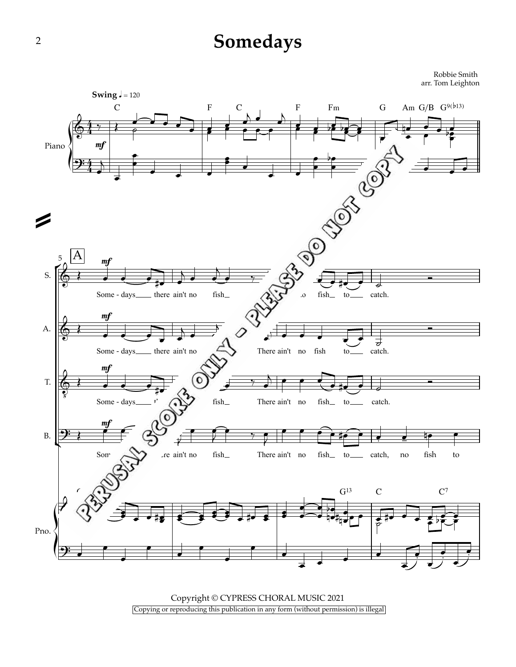## **Somedays**

Robbie Smith arr. Tom Leighton



Copyright © CYPRESS CHORAL MUSIC 2021 Copying or reproducing this publication in any form (without permission) is illegal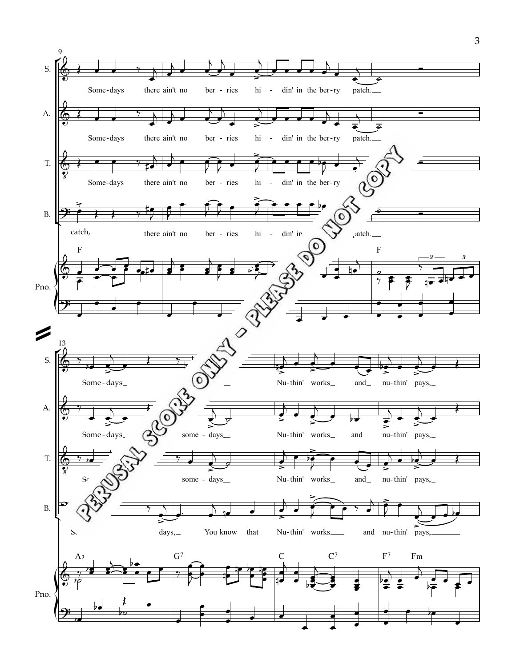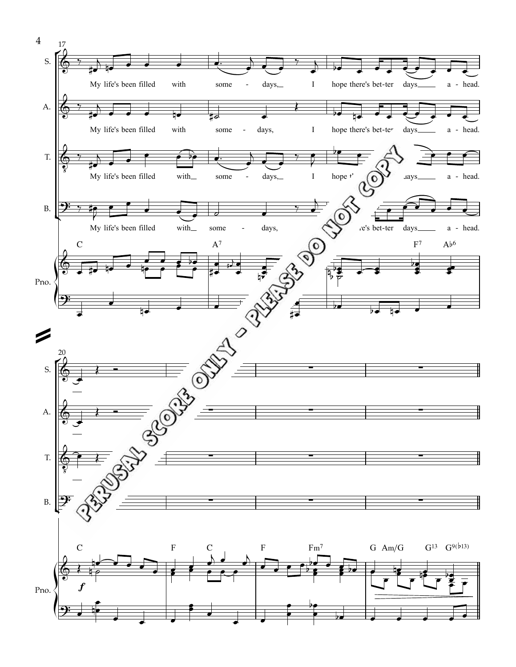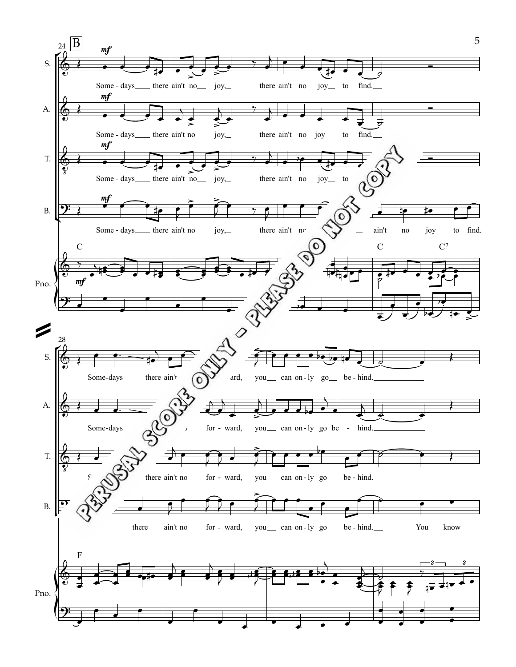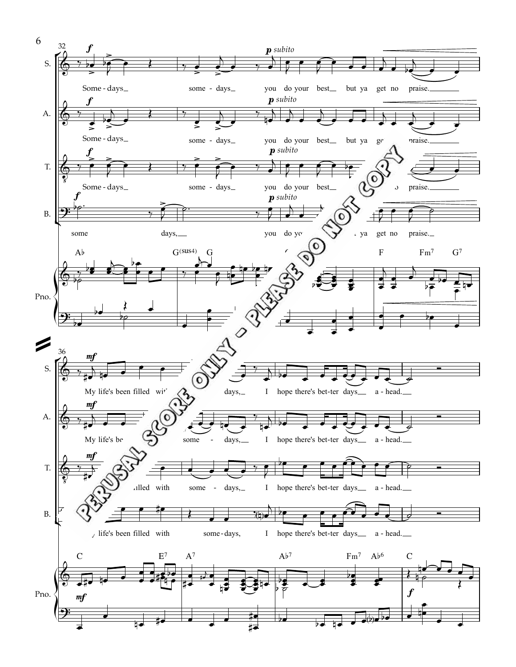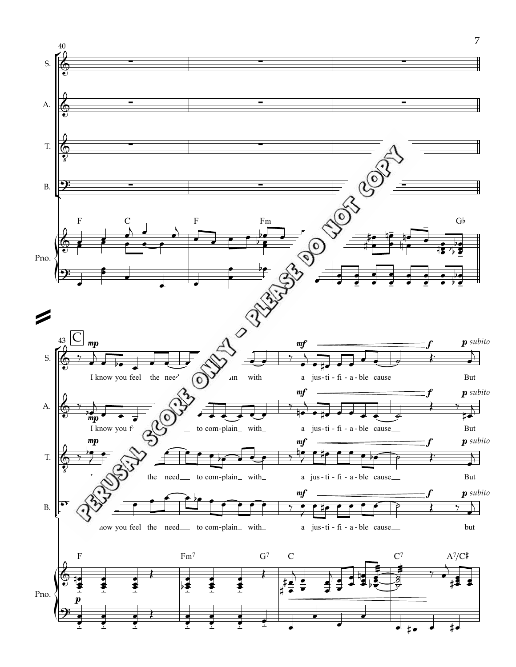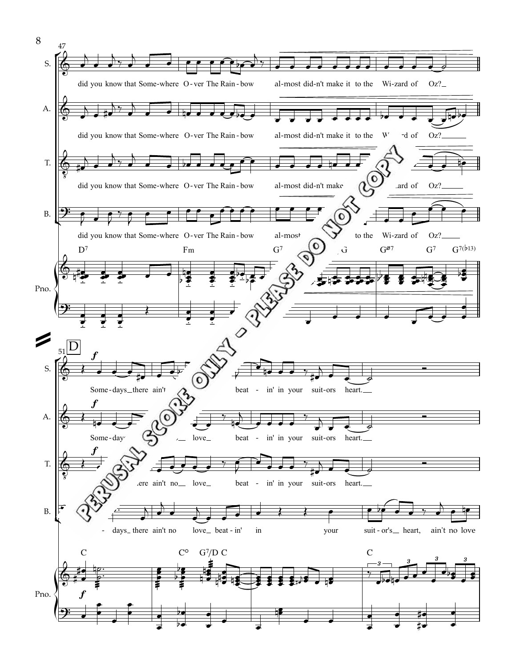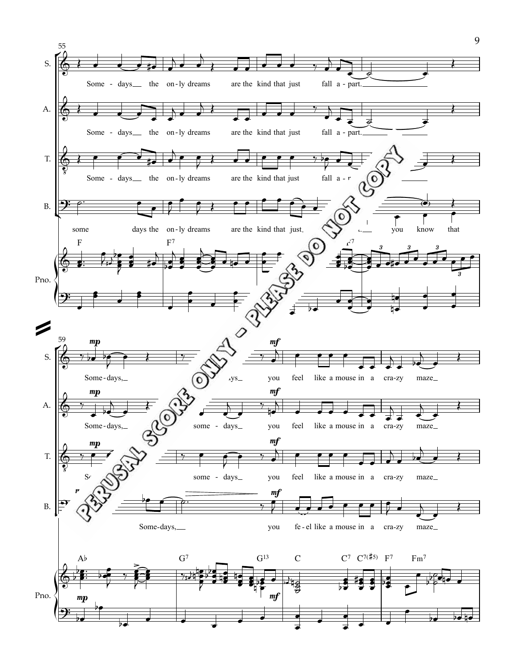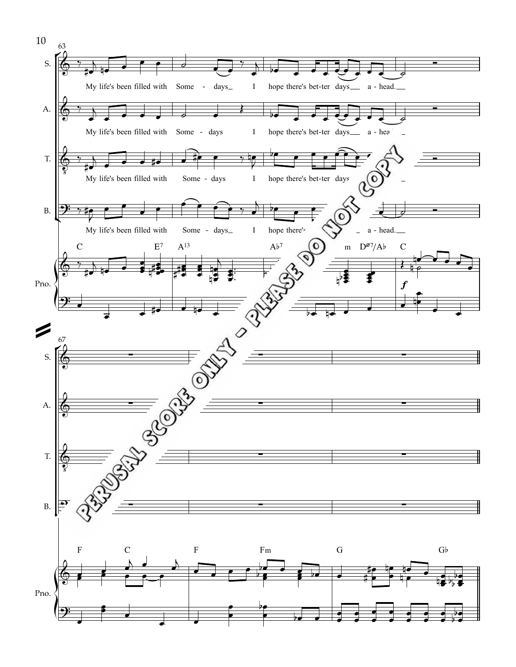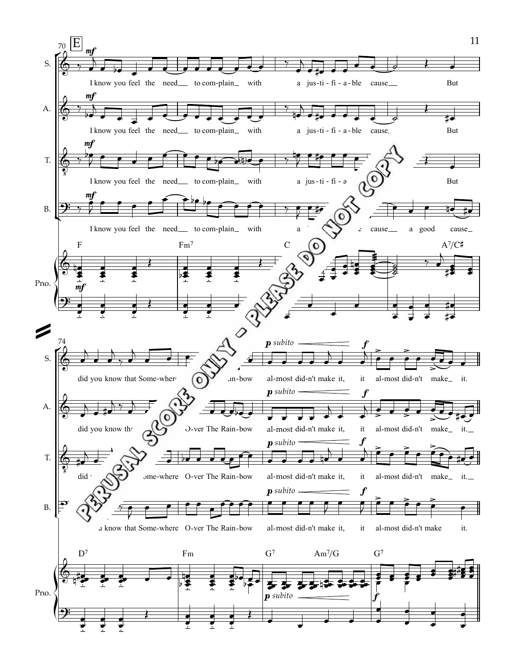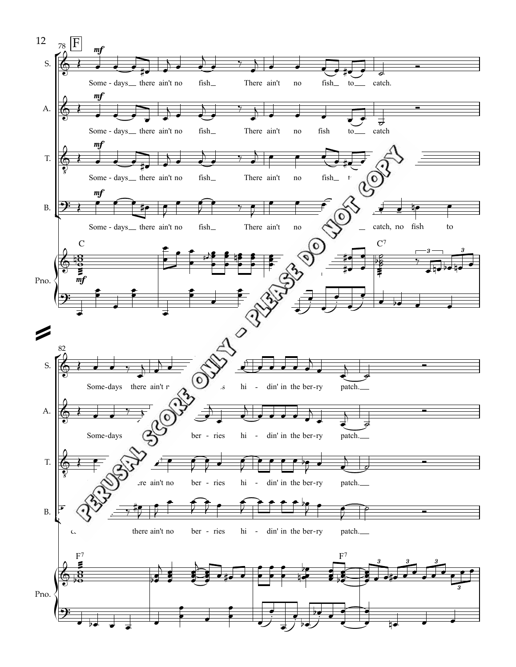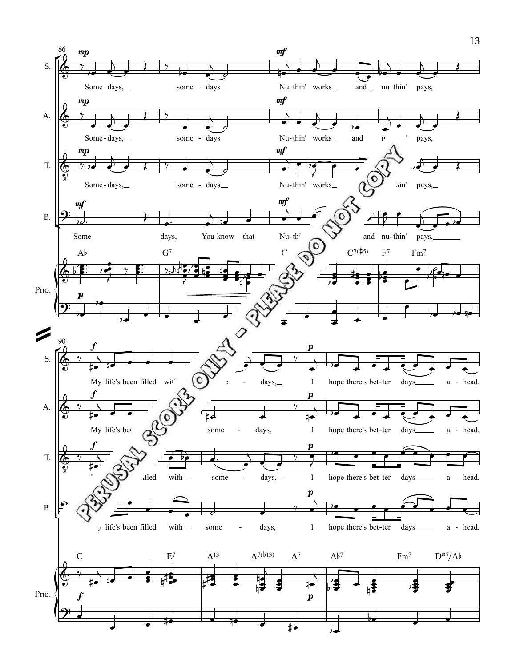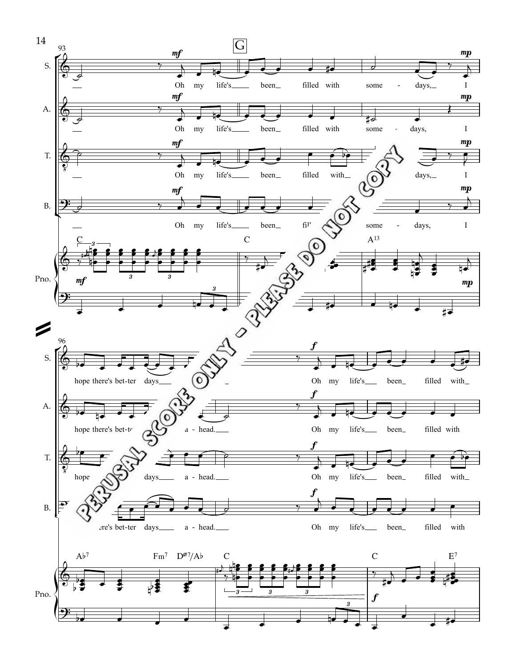